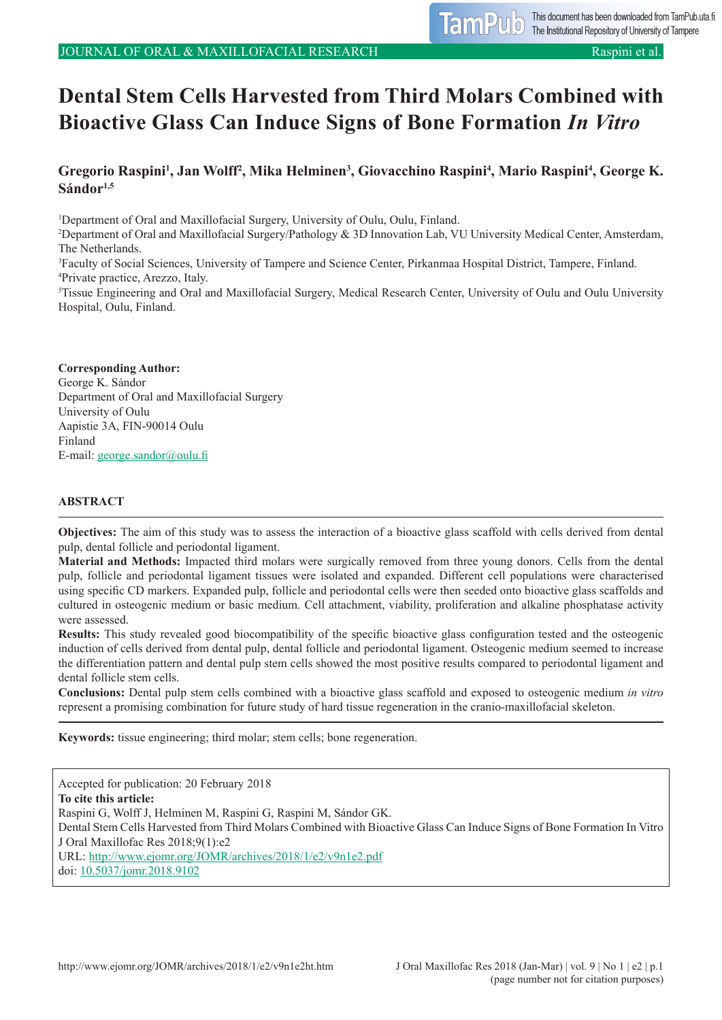# **Dental Stem Cells Harvested from Third Molars Combined with Bioactive Glass Can Induce Signs of Bone Formation** *In Vitro*

# Gregorio Raspini<sup>1</sup>, Jan Wolff<sup>2</sup>, Mika Helminen<sup>3</sup>, Giovacchino Raspini<sup>4</sup>, Mario Raspini<sup>4</sup>, George K. **Sándor1,5**

<sup>1</sup>Department of Oral and Maxillofacial Surgery, University of Oulu, Oulu, Finland.

2 Department of Oral and Maxillofacial Surgery/Pathology & 3D Innovation Lab, VU University Medical Center, Amsterdam, The Netherlands.

3 Faculty of Social Sciences, University of Tampere and Science Center, Pirkanmaa Hospital District, Tampere, Finland. 4 Private practice, Arezzo, Italy.

5 Tissue Engineering and Oral and Maxillofacial Surgery, Medical Research Center, University of Oulu and Oulu University Hospital, Oulu, Finland.

#### **Corresponding Author:** George K. Sándor Department of Oral and Maxillofacial Surgery University of Oulu Aapistie 3A, FIN-90014 Oulu Finland E-mail: [george.sandor@oulu.fi](mailto:george.sandor%40oulu.fi?subject=)

#### **ABSTRACT**

**Objectives:** The aim of this study was to assess the interaction of a bioactive glass scaffold with cells derived from dental pulp, dental follicle and periodontal ligament.

**Material and Methods:** Impacted third molars were surgically removed from three young donors. Cells from the dental pulp, follicle and periodontal ligament tissues were isolated and expanded. Different cell populations were characterised using specific CD markers. Expanded pulp, follicle and periodontal cells were then seeded onto bioactive glass scaffolds and cultured in osteogenic medium or basic medium. Cell attachment, viability, proliferation and alkaline phosphatase activity were assessed.

**Results:** This study revealed good biocompatibility of the specific bioactive glass configuration tested and the osteogenic induction of cells derived from dental pulp, dental follicle and periodontal ligament. Osteogenic medium seemed to increase the differentiation pattern and dental pulp stem cells showed the most positive results compared to periodontal ligament and dental follicle stem cells.

**Conclusions:** Dental pulp stem cells combined with a bioactive glass scaffold and exposed to osteogenic medium *in vitro* represent a promising combination for future study of hard tissue regeneration in the cranio-maxillofacial skeleton.

**Keywords:** tissue engineering; third molar; stem cells; bone regeneration.

Accepted for publication: 20 February 2018 **To cite this article:** Raspini G, Wolff J, Helminen M, Raspini G, Raspini M, Sándor GK. Dental Stem Cells Harvested from Third Molars Combined with Bioactive Glass Can Induce Signs of Bone Formation In Vitro J Oral Maxillofac Res 2018;9(1):e2 URL:<http://www.ejomr.org/JOMR/archives/2018/1/e2/v9n1e2.pdf> doi: [10.5037/jomr.2018.9102](http://dx.doi.org/10.5037/jomr.2018.9102)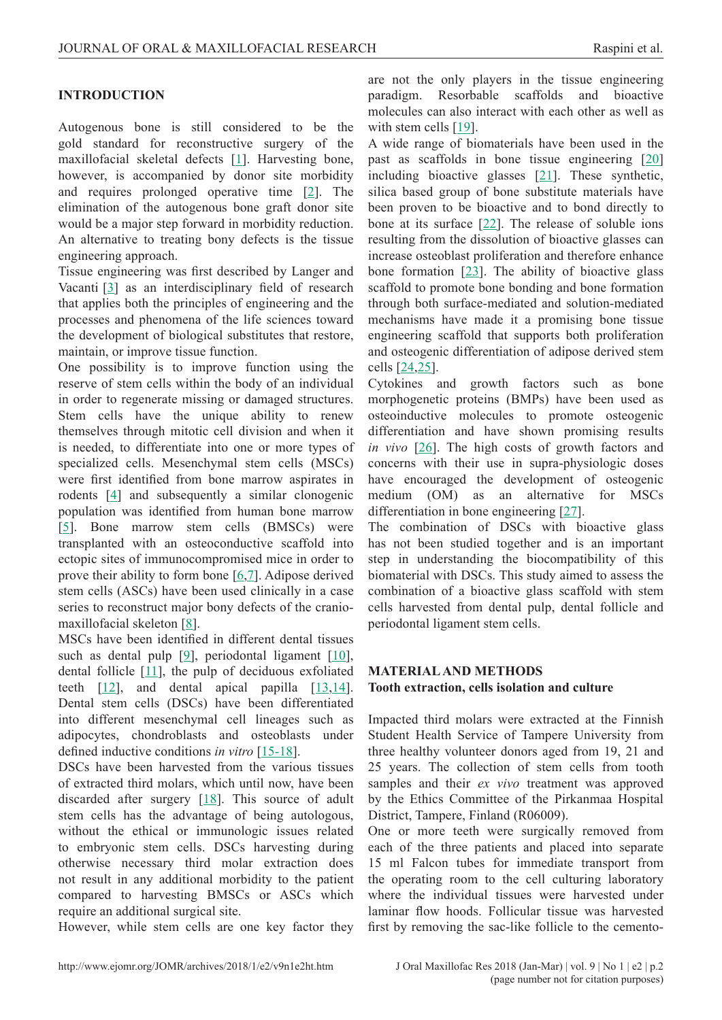## **INTRODUCTION**

Autogenous bone is still considered to be the gold standard for reconstructive surgery of the maxillofacial skeletal defects [\[1\]](#page-7-0). Harvesting bone, however, is accompanied by donor site morbidity and requires prolonged operative time  $[2]$  $[2]$  $[2]$ . The elimination of the autogenous bone graft donor site would be a major step forward in morbidity reduction. An alternative to treating bony defects is the tissue engineering approach.

Tissue engineering was first described by Langer and Vacanti [\[3](#page-7-0)] as an interdisciplinary field of research that applies both the principles of engineering and the processes and phenomena of the life sciences toward the development of biological substitutes that restore, maintain, or improve tissue function.

One possibility is to improve function using the reserve of stem cells within the body of an individual in order to regenerate missing or damaged structures. Stem cells have the unique ability to renew themselves through mitotic cell division and when it is needed, to differentiate into one or more types of specialized cells. Mesenchymal stem cells (MSCs) were first identified from bone marrow aspirates in rodents [[4\]](#page-7-0) and subsequently a similar clonogenic population was identified from human bone marrow [[5](#page-7-0)]. Bone marrow stem cells (BMSCs) were transplanted with an osteoconductive scaffold into ectopic sites of immunocompromised mice in order to prove their ability to form bone [[6](#page-7-0),[7](#page-7-0)]. Adipose derived stem cells (ASCs) have been used clinically in a case series to reconstruct major bony defects of the craniomaxillofacial skeleton [\[8\]](#page-7-0).

MSCs have been identified in different dental tissues such as dental pulp [\[9\]](#page-7-0), periodontal ligament [\[10](#page-7-0)], dental follicle  $[11]$  $[11]$  $[11]$ , the pulp of deciduous exfoliated teeth  $[12]$  $[12]$ , and dental apical papilla  $[13,14]$  $[13,14]$ . Dental stem cells (DSCs) have been differentiated into different mesenchymal cell lineages such as adipocytes, chondroblasts and osteoblasts under defined inductive conditions *in vitro* [[15-18\]](#page-8-0).

DSCs have been harvested from the various tissues of extracted third molars, which until now, have been discarded after surgery  $[18]$  $[18]$ . This source of adult stem cells has the advantage of being autologous, without the ethical or immunologic issues related to embryonic stem cells. DSCs harvesting during otherwise necessary third molar extraction does not result in any additional morbidity to the patient compared to harvesting BMSCs or ASCs which require an additional surgical site.

However, while stem cells are one key factor they

are not the only players in the tissue engineering paradigm. Resorbable scaffolds and bioactive molecules can also interact with each other as well as with stem cells [[19](#page-8-0)].

A wide range of biomaterials have been used in the past as scaffolds in bone tissue engineering [[20\]](#page-8-0) including bioactive glasses [[21](#page-8-0)]. These synthetic, silica based group of bone substitute materials have been proven to be bioactive and to bond directly to bone at its surface [\[22](#page-8-0)]. The release of soluble ions resulting from the dissolution of bioactive glasses can increase osteoblast proliferation and therefore enhance bone formation  $[23]$  $[23]$  $[23]$ . The ability of bioactive glass scaffold to promote bone bonding and bone formation through both surface-mediated and solution-mediated mechanisms have made it a promising bone tissue engineering scaffold that supports both proliferation and osteogenic differentiation of adipose derived stem cells [[24,25\]](#page-8-0).

Cytokines and growth factors such as bone morphogenetic proteins (BMPs) have been used as osteoinductive molecules to promote osteogenic differentiation and have shown promising results *in vivo* [\[26\]](#page-8-0). The high costs of growth factors and concerns with their use in supra-physiologic doses have encouraged the development of osteogenic medium (OM) as an alternative for MSCs differentiation in bone engineering [[27](#page-8-0)].

The combination of DSCs with bioactive glass has not been studied together and is an important step in understanding the biocompatibility of this biomaterial with DSCs. This study aimed to assess the combination of a bioactive glass scaffold with stem cells harvested from dental pulp, dental follicle and periodontal ligament stem cells.

#### **MATERIAL AND METHODS Tooth extraction, cells isolation and culture**

Impacted third molars were extracted at the Finnish Student Health Service of Tampere University from three healthy volunteer donors aged from 19, 21 and 25 years. The collection of stem cells from tooth samples and their *ex vivo* treatment was approved by the Ethics Committee of the Pirkanmaa Hospital District, Tampere, Finland (R06009).

One or more teeth were surgically removed from each of the three patients and placed into separate 15 ml Falcon tubes for immediate transport from the operating room to the cell culturing laboratory where the individual tissues were harvested under laminar flow hoods. Follicular tissue was harvested first by removing the sac-like follicle to the cemento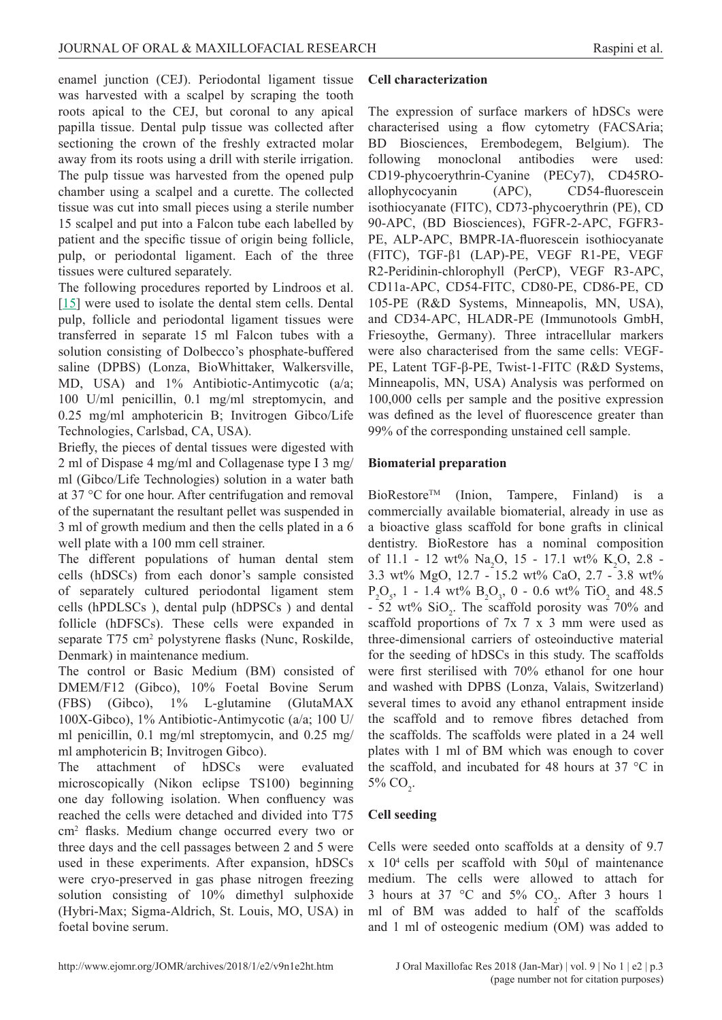enamel junction (CEJ). Periodontal ligament tissue was harvested with a scalpel by scraping the tooth roots apical to the CEJ, but coronal to any apical papilla tissue. Dental pulp tissue was collected after sectioning the crown of the freshly extracted molar away from its roots using a drill with sterile irrigation. The pulp tissue was harvested from the opened pulp chamber using a scalpel and a curette. The collected tissue was cut into small pieces using a sterile number 15 scalpel and put into a Falcon tube each labelled by patient and the specific tissue of origin being follicle, pulp, or periodontal ligament. Each of the three tissues were cultured separately.

The following procedures reported by Lindroos et al. [[15\]](#page-8-0) were used to isolate the dental stem cells. Dental pulp, follicle and periodontal ligament tissues were transferred in separate 15 ml Falcon tubes with a solution consisting of Dolbecco's phosphate-buffered saline (DPBS) (Lonza, BioWhittaker, Walkersville, MD, USA) and 1% Antibiotic-Antimycotic (a/a; 100 U/ml penicillin, 0.1 mg/ml streptomycin, and 0.25 mg/ml amphotericin B; Invitrogen Gibco/Life Technologies, Carlsbad, CA, USA).

Briefly, the pieces of dental tissues were digested with 2 ml of Dispase 4 mg/ml and Collagenase type I 3 mg/ ml (Gibco/Life Technologies) solution in a water bath at 37 °C for one hour. After centrifugation and removal of the supernatant the resultant pellet was suspended in 3 ml of growth medium and then the cells plated in a 6 well plate with a 100 mm cell strainer.

The different populations of human dental stem cells (hDSCs) from each donor's sample consisted of separately cultured periodontal ligament stem cells (hPDLSCs ), dental pulp (hDPSCs ) and dental follicle (hDFSCs). These cells were expanded in separate T75 cm<sup>2</sup> polystyrene flasks (Nunc, Roskilde, Denmark) in maintenance medium.

The control or Basic Medium (BM) consisted of DMEM/F12 (Gibco), 10% Foetal Bovine Serum (FBS) (Gibco), 1% L-glutamine (GlutaMAX 100X-Gibco), 1% Antibiotic-Antimycotic (a/a; 100 U/ ml penicillin, 0.1 mg/ml streptomycin, and 0.25 mg/ ml amphotericin B; Invitrogen Gibco).

The attachment of hDSCs were evaluated microscopically (Nikon eclipse TS100) beginning one day following isolation. When confluency was reached the cells were detached and divided into T75 cm2 flasks. Medium change occurred every two or three days and the cell passages between 2 and 5 were used in these experiments. After expansion, hDSCs were cryo-preserved in gas phase nitrogen freezing solution consisting of 10% dimethyl sulphoxide (Hybri-Max; Sigma-Aldrich, St. Louis, MO, USA) in foetal bovine serum.

#### **Cell characterization**

The expression of surface markers of hDSCs were characterised using a flow cytometry (FACSAria; BD Biosciences, Erembodegem, Belgium). The following monoclonal antibodies were used: CD19-phycoerythrin-Cyanine (PECy7), CD45ROallophycocyanin (APC), CD54-fluorescein isothiocyanate (FITC), CD73-phycoerythrin (PE), CD 90-APC, (BD Biosciences), FGFR-2-APC, FGFR3- PE, ALP-APC, BMPR-IA-fluorescein isothiocyanate (FITC), TGF-β1 (LAP)-PE, VEGF R1-PE, VEGF R2-Peridinin-chlorophyll (PerCP), VEGF R3-APC, CD11a-APC, CD54-FITC, CD80-PE, CD86-PE, CD 105-PE (R&D Systems, Minneapolis, MN, USA), and CD34-APC, HLADR-PE (Immunotools GmbH, Friesoythe, Germany). Three intracellular markers were also characterised from the same cells: VEGF-PE, Latent TGF-β-PE, Twist-1-FITC (R&D Systems, Minneapolis, MN, USA) Analysis was performed on 100,000 cells per sample and the positive expression was defined as the level of fluorescence greater than 99% of the corresponding unstained cell sample.

#### **Biomaterial preparation**

BioRestoreTM (Inion, Tampere, Finland) is a commercially available biomaterial, already in use as a bioactive glass scaffold for bone grafts in clinical dentistry. BioRestore has a nominal composition of 11.1 - 12 wt%  $\text{Na}_2\text{O}$ , 15 - 17.1 wt% K<sub>2</sub>O, 2.8 -3.3 wt% MgO, 12.7 - 15.2 wt% CaO, 2.7 - 3.8 wt%  $P_2O_5$ , 1 - 1.4 wt%  $B_2O_3$ , 0 - 0.6 wt% TiO<sub>2</sub> and 48.5  $-52$  wt%  $SiO_2$ . The scaffold porosity was 70% and scaffold proportions of 7x 7 x 3 mm were used as three-dimensional carriers of osteoinductive material for the seeding of hDSCs in this study. The scaffolds were first sterilised with 70% ethanol for one hour and washed with DPBS (Lonza, Valais, Switzerland) several times to avoid any ethanol entrapment inside the scaffold and to remove fibres detached from the scaffolds. The scaffolds were plated in a 24 well plates with 1 ml of BM which was enough to cover the scaffold, and incubated for 48 hours at 37 °C in 5%  $CO<sub>2</sub>$ .

#### **Cell seeding**

Cells were seeded onto scaffolds at a density of 9.7 x 104 cells per scaffold with 50μl of maintenance medium. The cells were allowed to attach for 3 hours at 37 °C and 5%  $CO_2$ . After 3 hours 1 ml of BM was added to half of the scaffolds and 1 ml of osteogenic medium (OM) was added to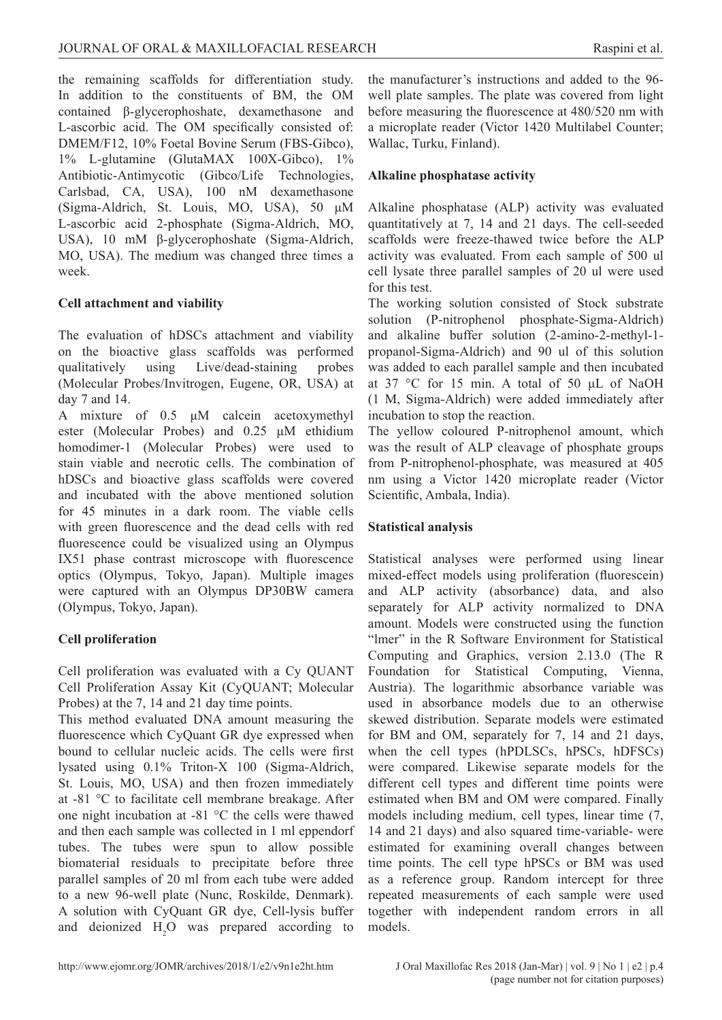the remaining scaffolds for differentiation study. In addition to the constituents of BM, the OM contained β-glycerophoshate, dexamethasone and L-ascorbic acid. The OM specifically consisted of: DMEM/F12, 10% Foetal Bovine Serum (FBS-Gibco), 1% L-glutamine (GlutaMAX 100X-Gibco), 1% Antibiotic-Antimycotic (Gibco/Life Technologies, Carlsbad, CA, USA), 100 nM dexamethasone (Sigma-Aldrich, St. Louis, MO, USA), 50 μM L-ascorbic acid 2-phosphate (Sigma-Aldrich, MO, USA), 10 mM β-glycerophoshate (Sigma-Aldrich, MO, USA). The medium was changed three times a week.

# **Cell attachment and viability**

The evaluation of hDSCs attachment and viability on the bioactive glass scaffolds was performed qualitatively using Live/dead-staining probes (Molecular Probes/Invitrogen, Eugene, OR, USA) at day 7 and 14.

A mixture of 0.5 μM calcein acetoxymethyl ester (Molecular Probes) and 0.25 μM ethidium homodimer-1 (Molecular Probes) were used to stain viable and necrotic cells. The combination of hDSCs and bioactive glass scaffolds were covered and incubated with the above mentioned solution for 45 minutes in a dark room. The viable cells with green fluorescence and the dead cells with red fluorescence could be visualized using an Olympus IX51 phase contrast microscope with fluorescence optics (Olympus, Tokyo, Japan). Multiple images were captured with an Olympus DP30BW camera (Olympus, Tokyo, Japan).

# **Cell proliferation**

Cell proliferation was evaluated with a Cy QUANT Cell Proliferation Assay Kit (CyQUANT; Molecular Probes) at the 7, 14 and 21 day time points.

This method evaluated DNA amount measuring the fluorescence which CyQuant GR dye expressed when bound to cellular nucleic acids. The cells were first lysated using 0.1% Triton-X 100 (Sigma-Aldrich, St. Louis, MO, USA) and then frozen immediately at -81 °C to facilitate cell membrane breakage. After one night incubation at -81 °C the cells were thawed and then each sample was collected in 1 ml eppendorf tubes. The tubes were spun to allow possible biomaterial residuals to precipitate before three parallel samples of 20 ml from each tube were added to a new 96-well plate (Nunc, Roskilde, Denmark). A solution with CyQuant GR dye, Cell-lysis buffer and deionized  $H_2O$  was prepared according to

the manufacturer's instructions and added to the 96 well plate samples. The plate was covered from light before measuring the fluorescence at 480/520 nm with a microplate reader (Victor 1420 Multilabel Counter; Wallac, Turku, Finland).

## **Alkaline phosphatase activity**

Alkaline phosphatase (ALP) activity was evaluated quantitatively at 7, 14 and 21 days. The cell-seeded scaffolds were freeze-thawed twice before the ALP activity was evaluated. From each sample of 500 ul cell lysate three parallel samples of 20 ul were used for this test.

The working solution consisted of Stock substrate solution (P-nitrophenol phosphate-Sigma-Aldrich) and alkaline buffer solution (2-amino-2-methyl-1 propanol-Sigma-Aldrich) and 90 ul of this solution was added to each parallel sample and then incubated at 37 °C for 15 min. A total of 50 μL of NaOH (1 M, Sigma-Aldrich) were added immediately after incubation to stop the reaction.

The yellow coloured P-nitrophenol amount, which was the result of ALP cleavage of phosphate groups from P-nitrophenol-phosphate, was measured at 405 nm using a Victor 1420 microplate reader (Victor Scientific, Ambala, India).

## **Statistical analysis**

Statistical analyses were performed using linear mixed-effect models using proliferation (fluorescein) and ALP activity (absorbance) data, and also separately for ALP activity normalized to DNA amount. Models were constructed using the function "lmer" in the R Software Environment for Statistical Computing and Graphics, version 2.13.0 (The R Foundation for Statistical Computing, Vienna, Austria). The logarithmic absorbance variable was used in absorbance models due to an otherwise skewed distribution. Separate models were estimated for BM and OM, separately for 7, 14 and 21 days, when the cell types (hPDLSCs, hPSCs, hDFSCs) were compared. Likewise separate models for the different cell types and different time points were estimated when BM and OM were compared. Finally models including medium, cell types, linear time (7, 14 and 21 days) and also squared time-variable- were estimated for examining overall changes between time points. The cell type hPSCs or BM was used as a reference group. Random intercept for three repeated measurements of each sample were used together with independent random errors in all models.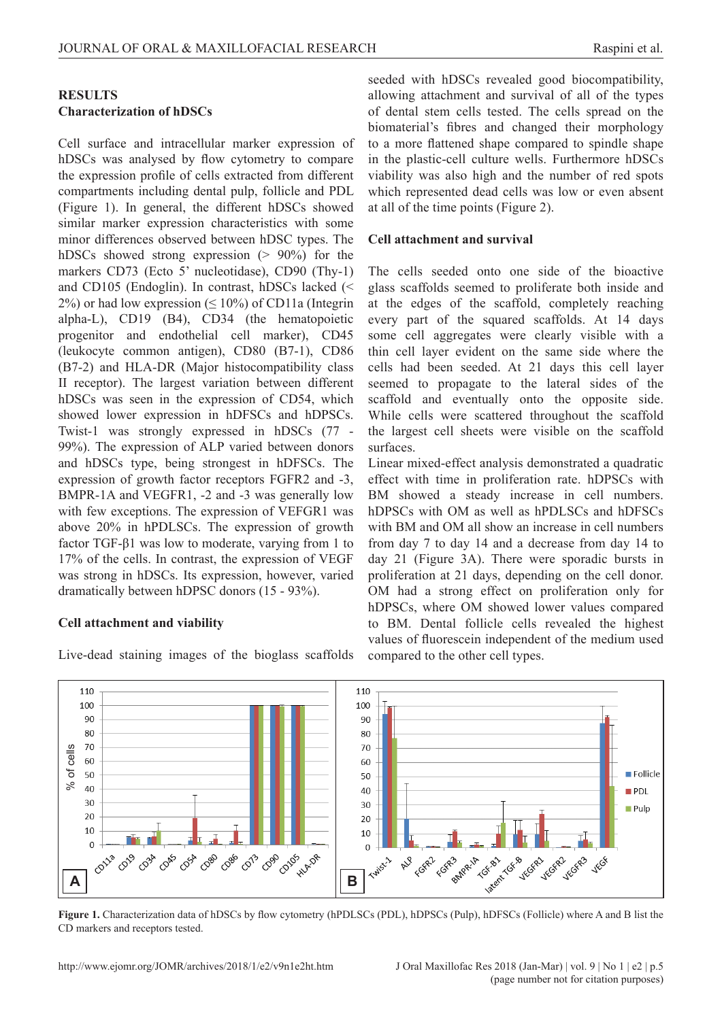## **RESULTS Characterization of hDSCs**

Cell surface and intracellular marker expression of hDSCs was analysed by flow cytometry to compare the expression profile of cells extracted from different compartments including dental pulp, follicle and PDL (Figure 1). In general, the different hDSCs showed similar marker expression characteristics with some minor differences observed between hDSC types. The hDSCs showed strong expression (> 90%) for the markers CD73 (Ecto 5' nucleotidase), CD90 (Thy-1) and CD105 (Endoglin). In contrast, hDSCs lacked (<  $2\%$ ) or had low expression ( $\leq 10\%$ ) of CD11a (Integrin alpha-L), CD19 (B4), CD34 (the hematopoietic progenitor and endothelial cell marker), CD45 (leukocyte common antigen), CD80 (B7-1), CD86 (B7-2) and HLA-DR (Major histocompatibility class II receptor). The largest variation between different hDSCs was seen in the expression of CD54, which showed lower expression in hDFSCs and hDPSCs. Twist-1 was strongly expressed in hDSCs (77 - 99%). The expression of ALP varied between donors and hDSCs type, being strongest in hDFSCs. The expression of growth factor receptors FGFR2 and -3, BMPR-1A and VEGFR1, -2 and -3 was generally low with few exceptions. The expression of VEFGR1 was above 20% in hPDLSCs. The expression of growth factor TGF-β1 was low to moderate, varying from 1 to 17% of the cells. In contrast, the expression of VEGF was strong in hDSCs. Its expression, however, varied dramatically between hDPSC donors (15 - 93%).

## **Cell attachment and viability**

Live-dead staining images of the bioglass scaffolds

seeded with hDSCs revealed good biocompatibility, allowing attachment and survival of all of the types of dental stem cells tested. The cells spread on the biomaterial's fibres and changed their morphology to a more flattened shape compared to spindle shape in the plastic-cell culture wells. Furthermore hDSCs viability was also high and the number of red spots which represented dead cells was low or even absent at all of the time points (Figure 2).

### **Cell attachment and survival**

The cells seeded onto one side of the bioactive glass scaffolds seemed to proliferate both inside and at the edges of the scaffold, completely reaching every part of the squared scaffolds. At 14 days some cell aggregates were clearly visible with a thin cell layer evident on the same side where the cells had been seeded. At 21 days this cell layer seemed to propagate to the lateral sides of the scaffold and eventually onto the opposite side. While cells were scattered throughout the scaffold the largest cell sheets were visible on the scaffold surfaces.

Linear mixed-effect analysis demonstrated a quadratic effect with time in proliferation rate. hDPSCs with BM showed a steady increase in cell numbers. hDPSCs with OM as well as hPDLSCs and hDFSCs with BM and OM all show an increase in cell numbers from day 7 to day 14 and a decrease from day 14 to day 21 (Figure 3A). There were sporadic bursts in proliferation at 21 days, depending on the cell donor. OM had a strong effect on proliferation only for hDPSCs, where OM showed lower values compared to BM. Dental follicle cells revealed the highest values of fluorescein independent of the medium used compared to the other cell types.



**Figure 1.** Characterization data of hDSCs by flow cytometry (hPDLSCs (PDL), hDPSCs (Pulp), hDFSCs (Follicle) where A and B list the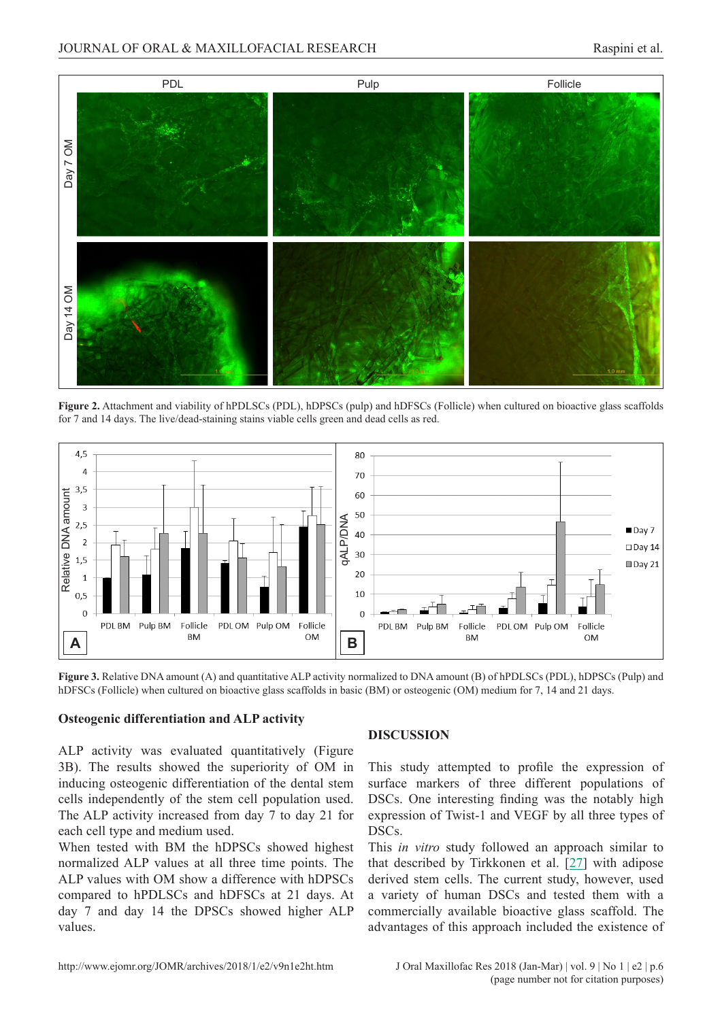

**Figure 2.** Attachment and viability of hPDLSCs (PDL), hDPSCs (pulp) and hDFSCs (Follicle) when cultured on bioactive glass scaffolds for 7 and 14 days. The live/dead-staining stains viable cells green and dead cells as red.



**Figure 3.** Relative DNA amount (A) and quantitative ALP activity normalized to DNA amount (B) of hPDLSCs (PDL), hDPSCs (Pulp) and hDFSCs (Follicle) when cultured on bioactive glass scaffolds in basic (BM) or osteogenic (OM) medium for 7, 14 and 21 days.

#### **Osteogenic differentiation and ALP activity**

ALP activity was evaluated quantitatively (Figure 3B). The results showed the superiority of OM in inducing osteogenic differentiation of the dental stem cells independently of the stem cell population used. The ALP activity increased from day 7 to day 21 for each cell type and medium used.

When tested with BM the hDPSCs showed highest normalized ALP values at all three time points. The ALP values with OM show a difference with hDPSCs compared to hPDLSCs and hDFSCs at 21 days. At day 7 and day 14 the DPSCs showed higher ALP values.

#### **DISCUSSION**

This study attempted to profile the expression of surface markers of three different populations of DSCs. One interesting finding was the notably high expression of Twist-1 and VEGF by all three types of DSCs.

This *in vitro* study followed an approach similar to that described by Tirkkonen et al. [[27\]](#page-8-0) with adipose derived stem cells. The current study, however, used a variety of human DSCs and tested them with a commercially available bioactive glass scaffold. The advantages of this approach included the existence of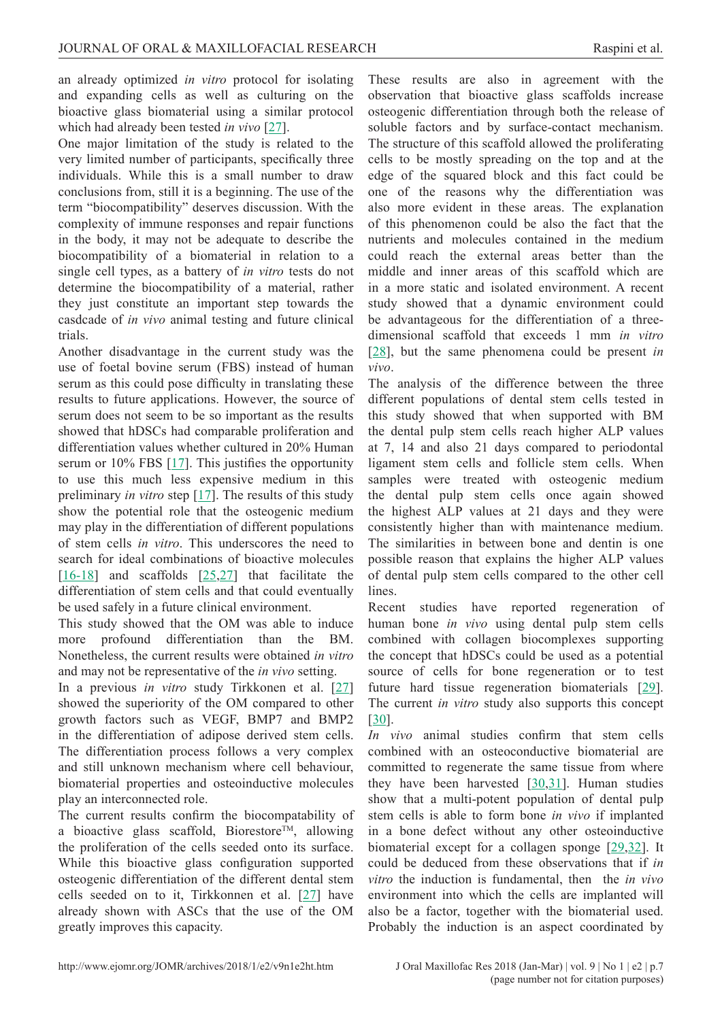an already optimized *in vitro* protocol for isolating and expanding cells as well as culturing on the bioactive glass biomaterial using a similar protocol which had already been tested *in vivo* [\[27\]](#page-8-0).

One major limitation of the study is related to the very limited number of participants, specifically three individuals. While this is a small number to draw conclusions from, still it is a beginning. The use of the term "biocompatibility" deserves discussion. With the complexity of immune responses and repair functions in the body, it may not be adequate to describe the biocompatibility of a biomaterial in relation to a single cell types, as a battery of *in vitro* tests do not determine the biocompatibility of a material, rather they just constitute an important step towards the casdcade of *in vivo* animal testing and future clinical trials.

Another disadvantage in the current study was the use of foetal bovine serum (FBS) instead of human serum as this could pose difficulty in translating these results to future applications. However, the source of serum does not seem to be so important as the results showed that hDSCs had comparable proliferation and differentiation values whether cultured in 20% Human serum or  $10\%$  FBS [\[17](#page-8-0)]. This justifies the opportunity to use this much less expensive medium in this preliminary *in vitro* step [\[17](#page-8-0)]. The results of this study show the potential role that the osteogenic medium may play in the differentiation of different populations of stem cells *in vitro*. This underscores the need to search for ideal combinations of bioactive molecules [[16-18\]](#page-8-0) and scaffolds [\[25,27](#page-8-0)] that facilitate the differentiation of stem cells and that could eventually be used safely in a future clinical environment.

This study showed that the OM was able to induce more profound differentiation than the BM. Nonetheless, the current results were obtained *in vitro* and may not be representative of the *in vivo* setting.

In a previous *in vitro* study Tirkkonen et al. [[27\]](#page-8-0) showed the superiority of the OM compared to other growth factors such as VEGF, BMP7 and BMP2 in the differentiation of adipose derived stem cells. The differentiation process follows a very complex and still unknown mechanism where cell behaviour, biomaterial properties and osteoinductive molecules play an interconnected role.

The current results confirm the biocompatability of a bioactive glass scaffold, Biorestore<sup>TM</sup>, allowing the proliferation of the cells seeded onto its surface. While this bioactive glass configuration supported osteogenic differentiation of the different dental stem cells seeded on to it, Tirkkonnen et al. [[27\]](#page-8-0) have already shown with ASCs that the use of the OM greatly improves this capacity.

These results are also in agreement with the observation that bioactive glass scaffolds increase osteogenic differentiation through both the release of soluble factors and by surface-contact mechanism. The structure of this scaffold allowed the proliferating cells to be mostly spreading on the top and at the edge of the squared block and this fact could be one of the reasons why the differentiation was also more evident in these areas. The explanation of this phenomenon could be also the fact that the nutrients and molecules contained in the medium could reach the external areas better than the middle and inner areas of this scaffold which are in a more static and isolated environment. A recent study showed that a dynamic environment could be advantageous for the differentiation of a threedimensional scaffold that exceeds 1 mm *in vitro* [\[28](#page-8-0)], but the same phenomena could be present *in vivo*.

The analysis of the difference between the three different populations of dental stem cells tested in this study showed that when supported with BM the dental pulp stem cells reach higher ALP values at 7, 14 and also 21 days compared to periodontal ligament stem cells and follicle stem cells. When samples were treated with osteogenic medium the dental pulp stem cells once again showed the highest ALP values at 21 days and they were consistently higher than with maintenance medium. The similarities in between bone and dentin is one possible reason that explains the higher ALP values of dental pulp stem cells compared to the other cell lines.

Recent studies have reported regeneration of human bone *in vivo* using dental pulp stem cells combined with collagen biocomplexes supporting the concept that hDSCs could be used as a potential source of cells for bone regeneration or to test future hard tissue regeneration biomaterials [[29\]](#page-8-0). The current *in vitro* study also supports this concept [\[30](#page-8-0)].

*In vivo* animal studies confirm that stem cells combined with an osteoconductive biomaterial are committed to regenerate the same tissue from where they have been harvested [\[30,31\]](#page-8-0). Human studies show that a multi-potent population of dental pulp stem cells is able to form bone *in vivo* if implanted in a bone defect without any other osteoinductive biomaterial except for a collagen sponge [[29](#page-8-0),[32](#page-8-0)]. It could be deduced from these observations that if *in vitro* the induction is fundamental, then the *in vivo* environment into which the cells are implanted will also be a factor, together with the biomaterial used. Probably the induction is an aspect coordinated by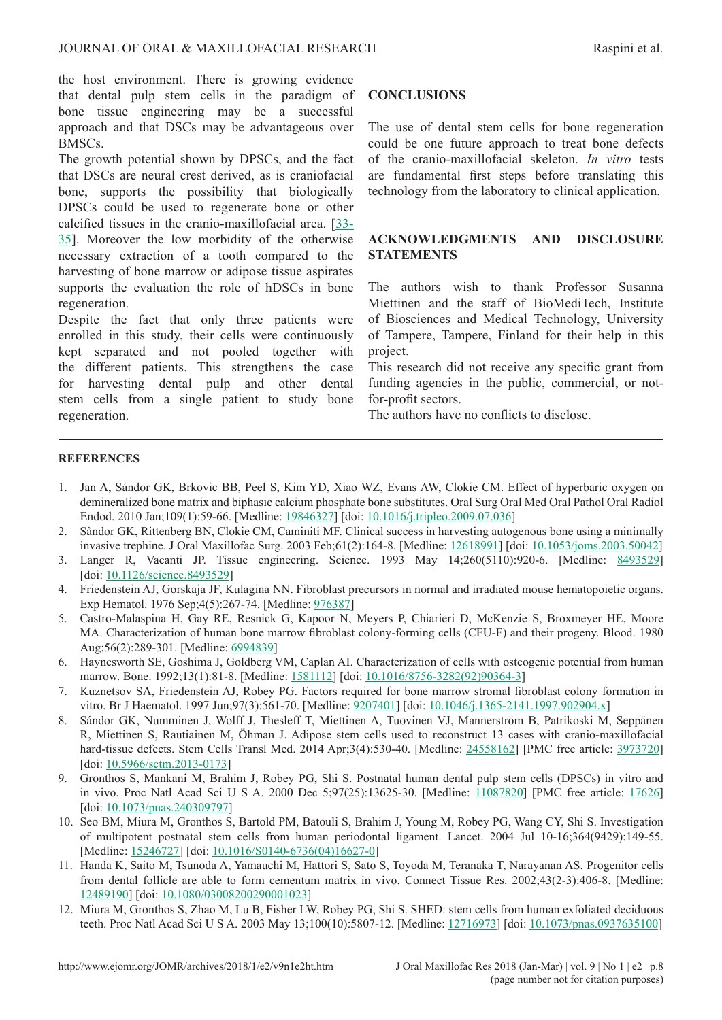<span id="page-7-0"></span>the host environment. There is growing evidence that dental pulp stem cells in the paradigm of bone tissue engineering may be a successful approach and that DSCs may be advantageous over BMSCs.

The growth potential shown by DPSCs, and the fact that DSCs are neural crest derived, as is craniofacial bone, supports the possibility that biologically DPSCs could be used to regenerate bone or other calcified tissues in the cranio-maxillofacial area. [[33-](#page-8-0) [35](#page-8-0)]. Moreover the low morbidity of the otherwise necessary extraction of a tooth compared to the harvesting of bone marrow or adipose tissue aspirates supports the evaluation the role of hDSCs in bone regeneration.

Despite the fact that only three patients were enrolled in this study, their cells were continuously kept separated and not pooled together with the different patients. This strengthens the case for harvesting dental pulp and other dental stem cells from a single patient to study bone regeneration.

## **CONCLUSIONS**

The use of dental stem cells for bone regeneration could be one future approach to treat bone defects of the cranio-maxillofacial skeleton. *In vitro* tests are fundamental first steps before translating this technology from the laboratory to clinical application.

## **ACKNOWLEDGMENTS AND DISCLOSURE STATEMENTS**

The authors wish to thank Professor Susanna Miettinen and the staff of BioMediTech, Institute of Biosciences and Medical Technology, University of Tampere, Tampere, Finland for their help in this project.

This research did not receive any specific grant from funding agencies in the public, commercial, or notfor-profit sectors.

The authors have no conflicts to disclose.

#### **REFERENCES**

- 1. Jan A, Sándor GK, Brkovic BB, Peel S, Kim YD, Xiao WZ, Evans AW, Clokie CM. Effect of hyperbaric oxygen on demineralized bone matrix and biphasic calcium phosphate bone substitutes. Oral Surg Oral Med Oral Pathol Oral Radiol Endod. 2010 Jan;109(1):59-66. [Medline: [19846327](http://www.ncbi.nlm.nih.gov/pubmed/19846327)] [doi: [10.1016/j.tripleo.2009.07.036\]](https://doi.org/10.1016/j.tripleo.2009.07.036)
- 2. Sàndor GK, Rittenberg BN, Clokie CM, Caminiti MF. Clinical success in harvesting autogenous bone using a minimally invasive trephine. J Oral Maxillofac Surg. 2003 Feb;61(2):164-8. [Medline: [12618991](http://www.ncbi.nlm.nih.gov/pubmed/12618991)] [doi: [10.1053/joms.2003.50042](https://doi.org/10.1053/joms.2003.50042)]
- 3. Langer R, Vacanti JP. Tissue engineering. Science. 1993 May 14;260(5110):920-6. [Medline: [8493529\]](http://www.ncbi.nlm.nih.gov/pubmed/8493529) [doi: [10.1126/science.8493529](https://doi.org/10.1126/science.8493529)]
- 4. Friedenstein AJ, Gorskaja JF, Kulagina NN. Fibroblast precursors in normal and irradiated mouse hematopoietic organs. Exp Hematol. 1976 Sep;4(5):267-74. [Medline: [976387](http://www.ncbi.nlm.nih.gov/pubmed/976387)]
- 5. Castro-Malaspina H, Gay RE, Resnick G, Kapoor N, Meyers P, Chiarieri D, McKenzie S, Broxmeyer HE, Moore MA. Characterization of human bone marrow fibroblast colony-forming cells (CFU-F) and their progeny. Blood. 1980 Aug;56(2):289-301. [Medline: [6994839\]](http://www.ncbi.nlm.nih.gov/pubmed/6994839)
- 6. Haynesworth SE, Goshima J, Goldberg VM, Caplan AI. Characterization of cells with osteogenic potential from human marrow. Bone. 1992;13(1):81-8. [Medline: [1581112](http://www.ncbi.nlm.nih.gov/pubmed/1581112)] [doi: [10.1016/8756-3282\(92\)90364-3](https://doi.org/10.1016/8756-3282(92)90364-3)]
- 7. Kuznetsov SA, Friedenstein AJ, Robey PG. Factors required for bone marrow stromal fibroblast colony formation in vitro. Br J Haematol. 1997 Jun;97(3):561-70. [Medline:  $9207401$ ] [doi: [10.1046/j.1365-2141.1997.902904.x](https://doi.org/10.1046/j.1365-2141.1997.902904.x)]
- 8. Sándor GK, Numminen J, Wolff J, Thesleff T, Miettinen A, Tuovinen VJ, Mannerström B, Patrikoski M, Seppänen R, Miettinen S, Rautiainen M, Öhman J. Adipose stem cells used to reconstruct 13 cases with cranio-maxillofacial hard-tissue defects. Stem Cells Transl Med. 2014 Apr;3(4):530-40. [Medline: [24558162\]](http://www.ncbi.nlm.nih.gov/pubmed/24558162) [PMC free article: [3973720\]](http://www.ncbi.nlm.nih.gov/pmc/articles/PMC3973720) [doi: [10.5966/sctm.2013-0173](https://doi.org/10.5966/sctm.2013-0173)]
- 9. Gronthos S, Mankani M, Brahim J, Robey PG, Shi S. Postnatal human dental pulp stem cells (DPSCs) in vitro and in vivo. Proc Natl Acad Sci U S A. 2000 Dec 5;97(25):13625-30. [Medline: [11087820](http://www.ncbi.nlm.nih.gov/pubmed/11087820)] [PMC free article: [17626\]](http://www.ncbi.nlm.nih.gov/pmc/articles/PMC17626) [doi: [10.1073/pnas.240309797](https://doi.org/10.1073/pnas.240309797)]
- 10. Seo BM, Miura M, Gronthos S, Bartold PM, Batouli S, Brahim J, Young M, Robey PG, Wang CY, Shi S. Investigation of multipotent postnatal stem cells from human periodontal ligament. Lancet. 2004 Jul 10-16;364(9429):149-55. [Medline: [15246727\]](http://www.ncbi.nlm.nih.gov/pubmed/15246727) [doi: [10.1016/S0140-6736\(04\)16627-0](https://doi.org/10.1016/S0140-6736(04)16627-0)]
- 11. Handa K, Saito M, Tsunoda A, Yamauchi M, Hattori S, Sato S, Toyoda M, Teranaka T, Narayanan AS. Progenitor cells from dental follicle are able to form cementum matrix in vivo. Connect Tissue Res. 2002;43(2-3):406-8. [Medline: [12489190\]](http://www.ncbi.nlm.nih.gov/pubmed/12489190) [doi: [10.1080/03008200290001023](https://doi.org/10.1080/03008200290001023)]
- 12. Miura M, Gronthos S, Zhao M, Lu B, Fisher LW, Robey PG, Shi S. SHED: stem cells from human exfoliated deciduous teeth. Proc Natl Acad Sci U S A. 2003 May 13;100(10):5807-12. [Medline: [12716973\]](http://www.ncbi.nlm.nih.gov/pubmed/12716973) [doi: [10.1073/pnas.0937635100\]](https://doi.org/10.1073/pnas.0937635100)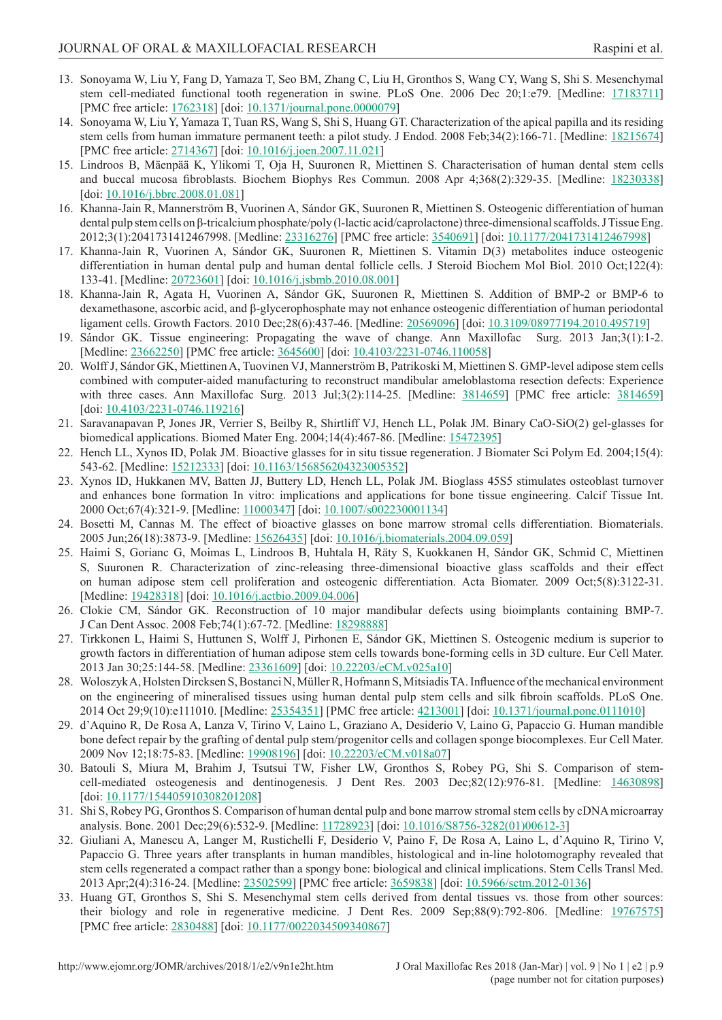- <span id="page-8-0"></span>13. Sonoyama W, Liu Y, Fang D, Yamaza T, Seo BM, Zhang C, Liu H, Gronthos S, Wang CY, Wang S, Shi S. Mesenchymal stem cell-mediated functional tooth regeneration in swine. PLoS One. 2006 Dec 20;1:e79. [Medline: [17183711\]](http://www.ncbi.nlm.nih.gov/pubmed/17183711) [PMC free article: [1762318](http://www.ncbi.nlm.nih.gov/pmc/articles/PMC2714367)] [doi: [10.1371/journal.pone.0000079\]](https://doi.org/10.1371/journal.pone.0000079)
- 14. Sonoyama W, Liu Y, Yamaza T, Tuan RS, Wang S, Shi S, Huang GT. Characterization of the apical papilla and its residing stem cells from human immature permanent teeth: a pilot study. J Endod. 2008 Feb;34(2):166-71. [Medline: [18215674\]](http://www.ncbi.nlm.nih.gov/pubmed/18215674) [PMC free article: [2714367](http://www.ncbi.nlm.nih.gov/pmc/articles/PMC2714367)] [doi: [10.1016/j.joen.2007.11.021](https://doi.org/10.1016/j.joen.2007.11.021)]
- 15. Lindroos B, Mäenpää K, Ylikomi T, Oja H, Suuronen R, Miettinen S. Characterisation of human dental stem cells and buccal mucosa fibroblasts. Biochem Biophys Res Commun. 2008 Apr 4;368(2):329-35. [Medline: [18230338\]](http://www.ncbi.nlm.nih.gov/pubmed/18230338) [doi: [10.1016/j.bbrc.2008.01.081](https://doi.org/10.1016/j.bbrc.2008.01.081)]
- 16. Khanna-Jain R, Mannerström B, Vuorinen A, Sándor GK, Suuronen R, Miettinen S. Osteogenic differentiation of human dental pulp stem cells on β-tricalcium phosphate/poly (l-lactic acid/caprolactone) three-dimensional scaffolds. J Tissue Eng. 2012;3(1):2041731412467998. [Medline: [23316276](http://www.ncbi.nlm.nih.gov/pubmed/23316276)] [PMC free article: [3540691](http://www.ncbi.nlm.nih.gov/pmc/articles/PMC3540691)] [doi: [10.1177/2041731412467998](https://doi.org/10.1177/2041731412467998)]
- 17. Khanna-Jain R, Vuorinen A, Sándor GK, Suuronen R, Miettinen S. Vitamin D(3) metabolites induce osteogenic differentiation in human dental pulp and human dental follicle cells. J Steroid Biochem Mol Biol. 2010 Oct;122(4): 133-41. [Medline: [20723601](http://www.ncbi.nlm.nih.gov/pubmed/20723601)] [doi: [10.1016/j.jsbmb.2010.08.001\]](https://doi.org/10.1016/j.jsbmb.2010.08.001)
- 18. Khanna-Jain R, Agata H, Vuorinen A, Sándor GK, Suuronen R, Miettinen S. Addition of BMP-2 or BMP-6 to dexamethasone, ascorbic acid, and β-glycerophosphate may not enhance osteogenic differentiation of human periodontal ligament cells. Growth Factors. 2010 Dec;28(6):437-46. [Medline: [20569096](http://www.ncbi.nlm.nih.gov/pubmed/20569096)] [doi: [10.3109/08977194.2010.495719\]](https://doi.org/10.3109/08977194.2010.495719)
- 19. Sándor GK. Tissue engineering: Propagating the wave of change. Ann Maxillofac Surg. 2013 Jan;3(1):1-2. [Medline: [23662250\]](http://www.ncbi.nlm.nih.gov/pubmed/23662250) [PMC free article: [3645600](http://www.ncbi.nlm.nih.gov/pmc/articles/PMC3645600)] [doi: [10.4103/2231-0746.110058\]](https://doi.org/10.4103/2231-0746.110058)
- 20. Wolff J, Sándor GK, Miettinen A, Tuovinen VJ, Mannerström B, Patrikoski M, Miettinen S. GMP-level adipose stem cells combined with computer-aided manufacturing to reconstruct mandibular ameloblastoma resection defects: Experience with three cases. Ann Maxillofac Surg. 2013 Jul;3(2):114-25. [Medline: [3814659](http://www.ncbi.nlm.nih.gov/pubmed/3814659)] [PMC free article: [3814659\]](http://www.ncbi.nlm.nih.gov/pmc/articles/PMC3814659) [doi: [10.4103/2231-0746.119216](https://doi.org/10.4103/2231-0746.119216)]
- 21. Saravanapavan P, Jones JR, Verrier S, Beilby R, Shirtliff VJ, Hench LL, Polak JM. Binary CaO-SiO(2) gel-glasses for biomedical applications. Biomed Mater Eng. 2004;14(4):467-86. [Medline: [15472395](http://www.ncbi.nlm.nih.gov/pubmed/15472395)]
- 22. Hench LL, Xynos ID, Polak JM. Bioactive glasses for in situ tissue regeneration. J Biomater Sci Polym Ed. 2004;15(4): 543-62. [Medline: [15212333](http://www.ncbi.nlm.nih.gov/pubmed/15212333)] [doi: [10.1163/156856204323005352](https://doi.org/10.1163/156856204323005352)]
- 23. Xynos ID, Hukkanen MV, Batten JJ, Buttery LD, Hench LL, Polak JM. Bioglass 45S5 stimulates osteoblast turnover and enhances bone formation In vitro: implications and applications for bone tissue engineering. Calcif Tissue Int. 2000 Oct;67(4):321-9. [Medline: [11000347](http://www.ncbi.nlm.nih.gov/pubmed/11000347)] [doi: [10.1007/s002230001134](https://doi.org/10.1007/s002230001134)]
- 24. Bosetti M, Cannas M. The effect of bioactive glasses on bone marrow stromal cells differentiation. Biomaterials. 2005 Jun;26(18):3873-9. [Medline: [15626435\]](http://www.ncbi.nlm.nih.gov/pubmed/15626435) [doi: [10.1016/j.biomaterials.2004.09.059\]](https://doi.org/10.1016/j.biomaterials.2004.09.059)
- 25. Haimi S, Gorianc G, Moimas L, Lindroos B, Huhtala H, Räty S, Kuokkanen H, Sándor GK, Schmid C, Miettinen S, Suuronen R. Characterization of zinc-releasing three-dimensional bioactive glass scaffolds and their effect on human adipose stem cell proliferation and osteogenic differentiation. Acta Biomater. 2009 Oct;5(8):3122-31. [Medline: [19428318\]](http://www.ncbi.nlm.nih.gov/pubmed/19428318) [doi: [10.1016/j.actbio.2009.04.006\]](https://doi.org/10.1016/j.actbio.2009.04.006)
- 26. Clokie CM, Sándor GK. Reconstruction of 10 major mandibular defects using bioimplants containing BMP-7. J Can Dent Assoc. 2008 Feb;74(1):67-72. [Medline: [18298888\]](http://www.ncbi.nlm.nih.gov/pubmed/18298888)
- 27. Tirkkonen L, Haimi S, Huttunen S, Wolff J, Pirhonen E, Sándor GK, Miettinen S. Osteogenic medium is superior to growth factors in differentiation of human adipose stem cells towards bone-forming cells in 3D culture. Eur Cell Mater. 2013 Jan 30;25:144-58. [Medline: [23361609](http://www.ncbi.nlm.nih.gov/pubmed/23361609)] [doi: [10.22203/eCM.v025a10\]](https://doi.org/10.22203/eCM.v025a10)
- 28. Woloszyk A, Holsten Dircksen S, Bostanci N, Müller R, Hofmann S, Mitsiadis TA. Influence of the mechanical environment on the engineering of mineralised tissues using human dental pulp stem cells and silk fibroin scaffolds. PLoS One. 2014 Oct 29;9(10):e111010. [Medline: [25354351](http://www.ncbi.nlm.nih.gov/pubmed/25354351)] [PMC free article: [4213001](http://www.ncbi.nlm.nih.gov/pmc/articles/PMC4213001)] [doi: [10.1371/journal.pone.0111010\]](https://doi.org/10.1371/journal.pone.0111010)
- 29. d'Aquino R, De Rosa A, Lanza V, Tirino V, Laino L, Graziano A, Desiderio V, Laino G, Papaccio G. Human mandible bone defect repair by the grafting of dental pulp stem/progenitor cells and collagen sponge biocomplexes. Eur Cell Mater. 2009 Nov 12;18:75-83. [Medline: [19908196](http://www.ncbi.nlm.nih.gov/pubmed/19908196)] [doi: [10.22203/eCM.v018a07](https://doi.org/10.22203/eCM.v018a07)]
- 30. Batouli S, Miura M, Brahim J, Tsutsui TW, Fisher LW, Gronthos S, Robey PG, Shi S. Comparison of stemcell-mediated osteogenesis and dentinogenesis. J Dent Res. 2003 Dec;82(12):976-81. [Medline: [14630898\]](http://www.ncbi.nlm.nih.gov/pubmed/14630898) [doi: [10.1177/154405910308201208](https://doi.org/10.1177/154405910308201208)]
- 31. Shi S, Robey PG, Gronthos S. Comparison of human dental pulp and bone marrow stromal stem cells by cDNA microarray analysis. Bone. 2001 Dec;29(6):532-9. [Medline: [11728923](http://www.ncbi.nlm.nih.gov/pubmed/11728923)] [doi: [10.1016/S8756-3282\(01\)00612-3](https://doi.org/10.1016/S8756-3282(01)00612-3)]
- 32. Giuliani A, Manescu A, Langer M, Rustichelli F, Desiderio V, Paino F, De Rosa A, Laino L, d'Aquino R, Tirino V, Papaccio G. Three years after transplants in human mandibles, histological and in-line holotomography revealed that stem cells regenerated a compact rather than a spongy bone: biological and clinical implications. Stem Cells Transl Med. 2013 Apr;2(4):316-24. [Medline: [23502599\]](http://www.ncbi.nlm.nih.gov/pubmed/23502599) [PMC free article: [3659838](http://www.ncbi.nlm.nih.gov/pmc/articles/PMC3659838)] [doi: [10.5966/sctm.2012-0136](https://doi.org/10.5966/sctm.2012-0136)]
- 33. Huang GT, Gronthos S, Shi S. Mesenchymal stem cells derived from dental tissues vs. those from other sources: their biology and role in regenerative medicine. J Dent Res. 2009 Sep;88(9):792-806. [Medline: [19767575\]](http://www.ncbi.nlm.nih.gov/pubmed/19767575) [PMC free article: [2830488](http://www.ncbi.nlm.nih.gov/pmc/articles/PMC2830488)] [doi: [10.1177/0022034509340867](https://doi.org/10.1177/0022034509340867)]